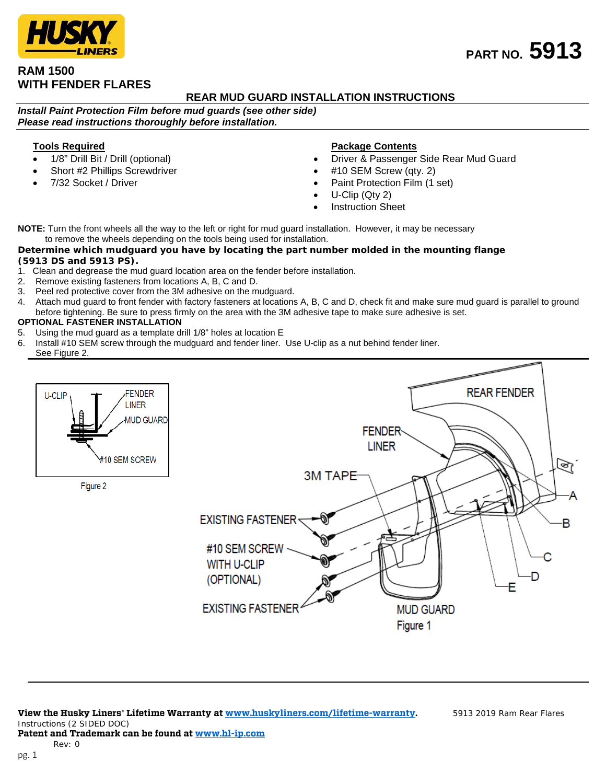## **RAM 1500 WITH FENDER FLARES**

## **REAR MUD GUARD INSTALLATION INSTRUCTIONS**

*Install Paint Protection Film before mud guards (see other side) Please read instructions thoroughly before installation.*

## **Tools Required**

- 1/8" Drill Bit / Drill (optional)
- Short #2 Phillips Screwdriver
- 7/32 Socket / Driver

## **Package Contents**

- Driver & Passenger Side Rear Mud Guard
- #10 SEM Screw (qty. 2)
- Paint Protection Film (1 set)
- U-Clip (Qty 2)
- **Instruction Sheet**

**NOTE:** Turn the front wheels all the way to the left or right for mud guard installation. However, it may be necessary to remove the wheels depending on the tools being used for installation.

#### *Determine which mudguard you have by locating the part number molded in the mounting flange (5913 DS and 5913 PS).*

- 1. Clean and degrease the mud guard location area on the fender before installation.
- 2. Remove existing fasteners from locations A, B, C and D.
- 
- 3. Peel red protective cover from the 3M adhesive on the mudguard.<br>4. Attach mud guard to front fender with factory fasteners at locations 4. Attach mud guard to front fender with factory fasteners at locations A, B, C and D, check fit and make sure mud guard is parallel to ground before tightening. Be sure to press firmly on the area with the 3M adhesive tape to make sure adhesive is set.

## **OPTIONAL FASTENER INSTALLATION**

- 5. Using the mud guard as a template drill 1/8" holes at location E
- 6. Install #10 SEM screw through the mudguard and fender liner. Use U-clip as a nut behind fender liner. See Figure 2.



# **PART NO. 5913**